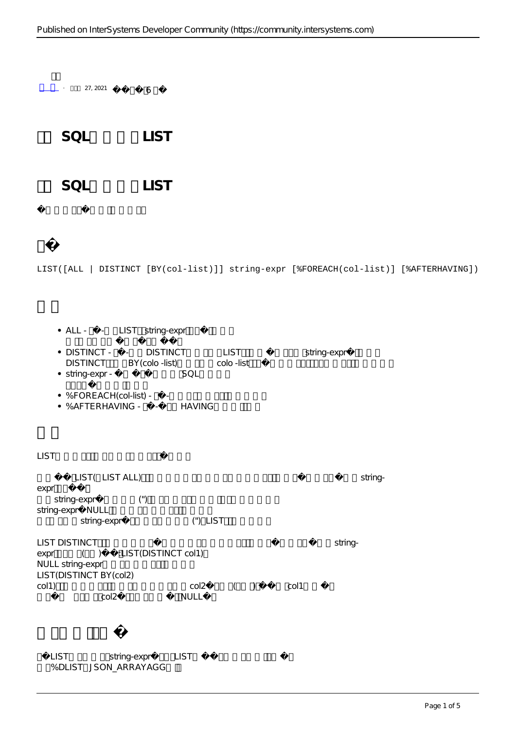$-$  27, 2021 6

**第七章 SQL聚合函数 LIST**

SQL LIST

### LIST([ALL | DISTINCT [BY(col-list)]] string-expr [%FOREACH(col-list)] [%AFTERHAVING])

• ALL - - LIST string-expr

- DISTINCT - DISTINCT LIST string-expr DISTINCT BY(colo -list) colo -list
- string-expr SQL
- $\bullet$  %FOREACH(col-list) -
- $\bullet$  % AFTERHAVING - HAVING

### $LIST$

 $LIST($  LIST ALL) stringexpr string-expr (") string-expr NULL string-expr ("), LIST LIST DISTINCT Stringexpr ( ) :LIST(DISTINCT col1) NULL string-expr LIST(DISTINCT BY(col2)

col1) col2 ( ) col1 col2 NULL

LIST string-expr LIST %DLIST JSON\_ARRAYAGG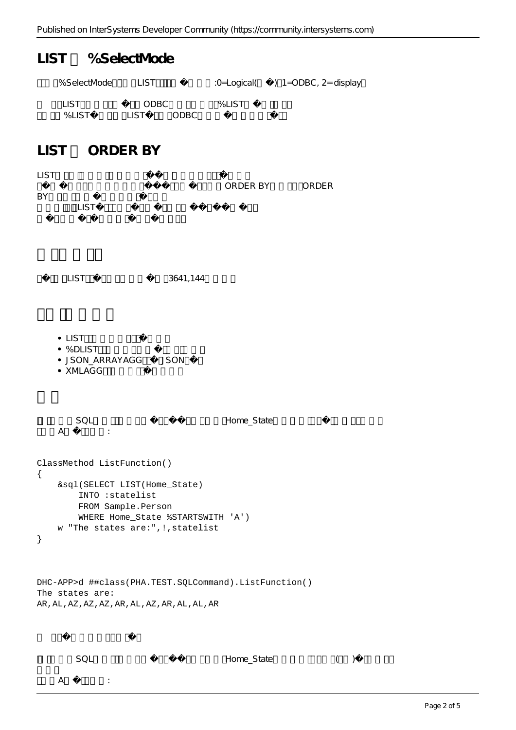# LIST %SelectMode

| %SelectMode | TIST.  |       |         | :0=Logical( $\big)$ 1=ODBC, 2= display |
|-------------|--------|-------|---------|----------------------------------------|
| <u>LIST</u> | ODBC.  |       | $%$ LST |                                        |
| % I IST     | I IST. | ODBC. |         |                                        |

## LIST ORDER BY

| <b>LIST</b><br>BY                                                                                                                                                                            | LIST                                                                                                                                  |          | ORDER BY ORDER |  |  |  |
|----------------------------------------------------------------------------------------------------------------------------------------------------------------------------------------------|---------------------------------------------------------------------------------------------------------------------------------------|----------|----------------|--|--|--|
|                                                                                                                                                                                              | <b>LIST</b>                                                                                                                           | 3641,144 |                |  |  |  |
|                                                                                                                                                                                              | $\bullet$ LIST<br>• %DLIST<br>· JSON_ARRAYAGG JSON<br>• XMLAGG                                                                        |          |                |  |  |  |
|                                                                                                                                                                                              | SQL<br>A<br>$\sim 10^6$                                                                                                               |          | Home_State     |  |  |  |
| ClassMethod ListFunction()<br>{<br>&sql(SELECT LIST(Home_State)<br>INTO : statelist<br>FROM Sample. Person<br>WHERE Home_State %STARTSWITH 'A')<br>w "The states are:", !, statelist<br>$\}$ |                                                                                                                                       |          |                |  |  |  |
|                                                                                                                                                                                              | DHC-APP>d ##class(PHA.TEST.SQLCommand).ListFunction()<br>The states are:<br>AR , AL , AZ , AZ , AZ , AR , AL , AZ , AR , AL , AL , AR |          |                |  |  |  |

 ${\sf A} \hspace{1.5cm} : \hspace{1.5cm}$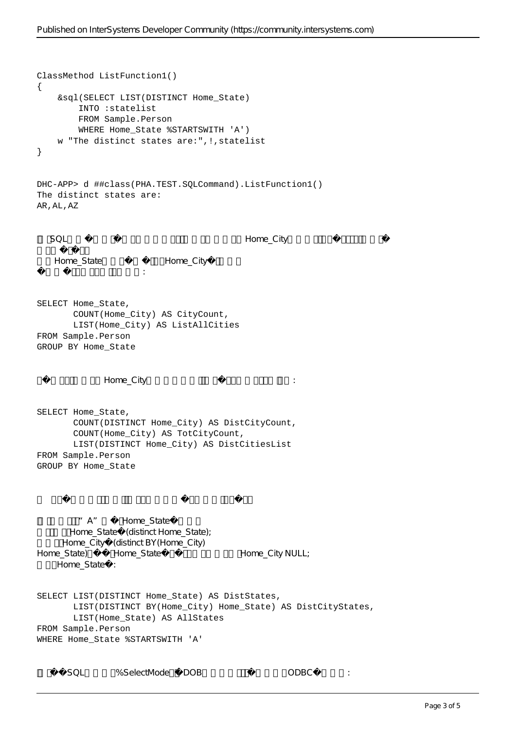```
ClassMethod ListFunction1()
{
     &sql(SELECT LIST(DISTINCT Home_State)
         INTO :statelist
         FROM Sample.Person
        WHERE Home State %STARTSWITH 'A')
     w "The distinct states are:",!,statelist
}
DHC-APP> d ##class(PHA.TEST.SQLCommand).ListFunction1()
The distinct states are:
AR,AL,AZ
  SQL Home_City
   Home_State Home_City
这些名单可能包括重复的城市名称:
SELECT Home_State,
        COUNT(Home_City) AS CityCount,
        LIST(Home_City) AS ListAllCities
FROM Sample.Person
GROUP BY Home_State
              Home City 3. 1999年4月, 2010年4月, 2010年4月, 2010年4月, 2010年4月, 2010年4月, 2011年4月, 2011年4月, 2011年4月, 2011年4月, 2011年4月, 2011年4月, 2011年4月, 2011年4月, 2011年4月, 2011年4月, 2011年4月, 2011年4月, 2011年4月, 2011年4月, 2011年4月, 2011年4月, 2011年4月, 2
SELECT Home_State,
        COUNT(DISTINCT Home_City) AS DistCityCount,
        COUNT(Home_City) AS TotCityCount,
        LIST(DISTINCT Home_City) AS DistCitiesList
FROM Sample.Person
GROUP BY Home_State
         "A" Home State
       Home_State (distinct Home_State);
     Home_City (distinct BY(Home_City)
Home_State) Home_State Home_City NULL;
    Home_State :
SELECT LIST(DISTINCT Home State) AS DistStates,
        LIST(DISTINCT BY(Home_City) Home_State) AS DistCityStates,
        LIST(Home_State) AS AllStates
FROM Sample.Person
WHERE Home_State %STARTSWITH 'A' 
      SQL %SelectMode DOB 0DBC :
```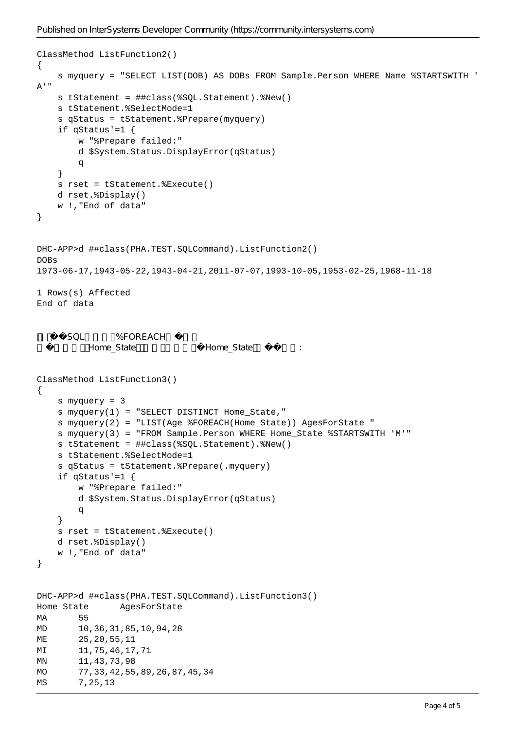```
ClassMethod ListFunction2()
{
     s myquery = "SELECT LIST(DOB) AS DOBs FROM Sample.Person WHERE Name %STARTSWITH '
A'"
     s tStatement = ##class(%SQL.Statement).%New()
     s tStatement.%SelectMode=1
     s qStatus = tStatement.%Prepare(myquery)
     if qStatus'=1 {
         w "%Prepare failed:" 
         d $System.Status.DisplayError(qStatus) 
         q
     }
     s rset = tStatement.%Execute()
     d rset.%Display()
     w !,"End of data"
}
DHC-APP>d ##class(PHA.TEST.SQLCommand).ListFunction2()
DOBs
1973-06-17,1943-05-22,1943-04-21,2011-07-07,1993-10-05,1953-02-25,1968-11-18
1 Rows(s) Affected
End of data
     SQL %FOREACH
         Home_State Home_State
ClassMethod ListFunction3()
{
     s myquery = 3
     s myquery(1) = "SELECT DISTINCT Home_State,"
     s myquery(2) = "LIST(Age %FOREACH(Home_State)) AgesForState "
     s myquery(3) = "FROM Sample.Person WHERE Home_State %STARTSWITH 'M'"
     s tStatement = ##class(%SQL.Statement).%New()
     s tStatement.%SelectMode=1
     s qStatus = tStatement.%Prepare(.myquery)
    if qStatus'=1 \{ w "%Prepare failed:" 
         d $System.Status.DisplayError(qStatus) 
q
     }
     s rset = tStatement.%Execute()
     d rset.%Display()
     w !,"End of data"
}
DHC-APP>d ##class(PHA.TEST.SQLCommand).ListFunction3()
Home_State AgesForState
MA 55
MD 10,36,31,85,10,94,28
ME 25,20,55,11
MI 11,75,46,17,71
MN 11,43,73,98
MO 77, 33, 42, 55, 89, 26, 87, 45, 34
MS 7, 25, 13
```